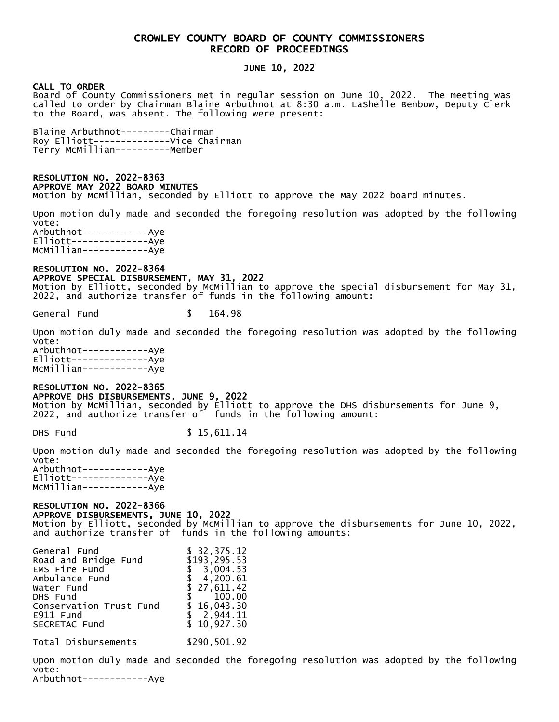## CROWLEY COUNTY BOARD OF COUNTY COMMISSIONERS RECORD OF PROCEEDINGS

## JUNE 10, 2022

## CALL TO ORDER

Board of County Commissioners met in regular session on June 10, 2022. The meeting was called to order by Chairman Blaine Arbuthnot at 8:30 a.m. LaShelle Benbow, Deputy Clerk to the Board, was absent. The following were present:

Blaine Arbuthnot---------Chairman Roy Elliott--------------Vice Chairman Terry McMillian----------Member

### RESOLUTION NO. 2022-8363 APPROVE MAY 2022 BOARD MINUTES

Motion by McMillian, seconded by Elliott to approve the May 2022 board minutes.

Upon motion duly made and seconded the foregoing resolution was adopted by the following vote: Arbuthnot------------Aye Elliott--------------Aye McMillian------------Aye

## RESOLUTION NO. 2022-8364 APPROVE SPECIAL DISBURSEMENT, MAY 31, 2022

Motion by Elliott, seconded by McMillian to approve the special disbursement for May 31, 2022, and authorize transfer of funds in the following amount:

General Fund \$ 164.98

Upon motion duly made and seconded the foregoing resolution was adopted by the following vote: Arbuthnot------------Aye Elliott--------------Aye McMillian------------Aye

## RESOLUTION NO. 2022-8365 APPROVE DHS DISBURSEMENTS, JUNE 9, 2022

Motion by McMillian, seconded by Elliott to approve the DHS disbursements for June 9, 2022, and authorize transfer of funds in the following amount:

DHS Fund \$ 15,611.14

Upon motion duly made and seconded the foregoing resolution was adopted by the following vote: Arbuthnot------------Aye Elliott--------------Aye

McMillian------------Aye

## RESOLUTION NO. 2022-8366

APPROVE DISBURSEMENTS, JUNE 10, 2022

Motion by Elliott, seconded by McMillian to approve the disbursements for June 10, 2022, and authorize transfer of funds in the following amounts:

| General Fund            | \$32,375.12  |
|-------------------------|--------------|
| Road and Bridge Fund    | \$193,295.53 |
| EMS Fire Fund           | \$3,004.53   |
| Ambulance Fund          | \$4,200.61   |
| Water Fund              | \$27,611.42  |
| DHS Fund                | \$100.00     |
| Conservation Trust Fund | \$16,043.30  |
| E911 Fund               | \$2,944.11   |
| SECRETAC Fund           | \$10,927.30  |
|                         |              |

Total Disbursements \$290,501.92

Upon motion duly made and seconded the foregoing resolution was adopted by the following vote:

Arbuthnot------------Aye